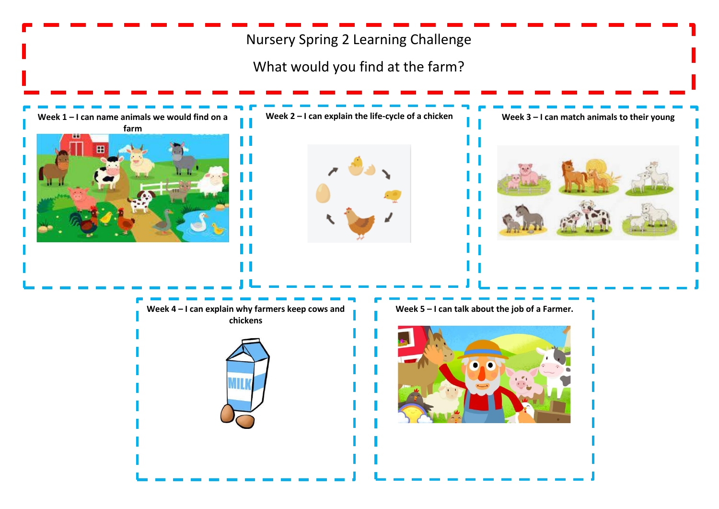# Nursery Spring 2 Learning Challenge

What would you find at the farm?

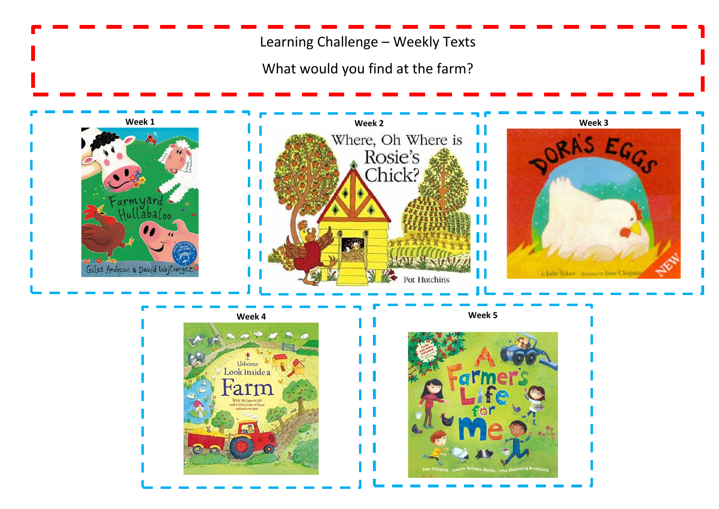Learning Challenge – Weekly Texts

What would you find at the farm?